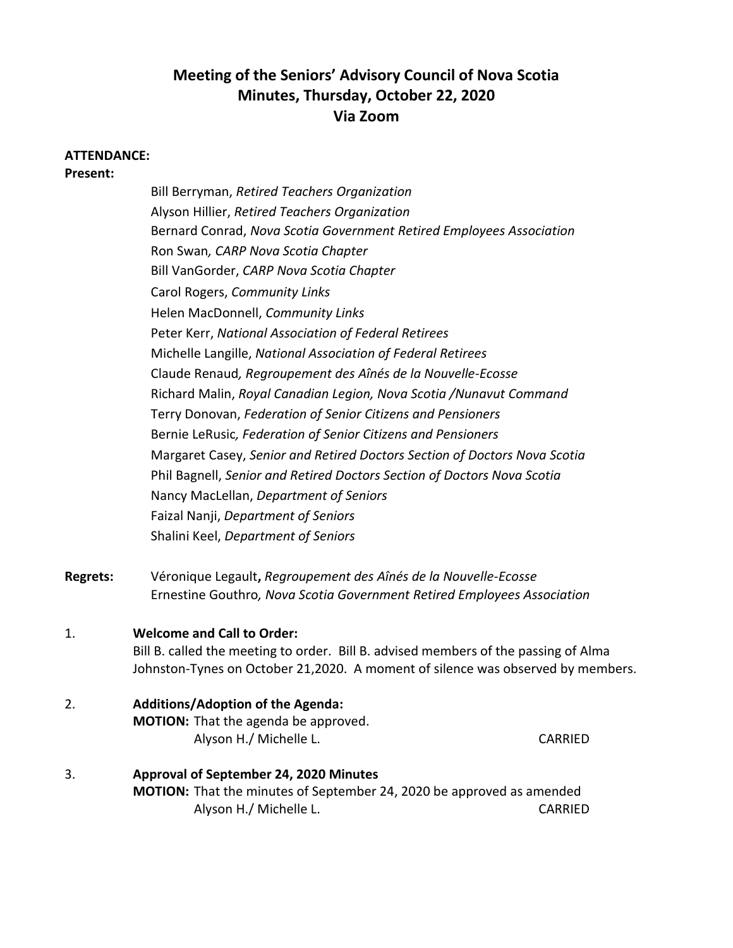# **Meeting of the Seniors' Advisory Council of Nova Scotia Minutes, Thursday, October 22, 2020 Via Zoom**

#### **ATTENDANCE:**

**Present:**

Bill Berryman, *Retired Teachers Organization* Alyson Hillier, *Retired Teachers Organization* Bernard Conrad, *Nova Scotia Government Retired Employees Association* Ron Swan*, CARP Nova Scotia Chapter* Bill VanGorder, *CARP Nova Scotia Chapter* Carol Rogers, *Community Links* Helen MacDonnell, *Community Links* Peter Kerr, *National Association of Federal Retirees* Michelle Langille, *National Association of Federal Retirees*  Claude Renaud*, Regroupement des Aînés de la Nouvelle-Ecosse* Richard Malin, *Royal Canadian Legion, Nova Scotia /Nunavut Command* Terry Donovan, *Federation of Senior Citizens and Pensioners* Bernie LeRusic*, Federation of Senior Citizens and Pensioners* Margaret Casey, *Senior and Retired Doctors Section of Doctors Nova Scotia* Phil Bagnell, *Senior and Retired Doctors Section of Doctors Nova Scotia*  Nancy MacLellan, *Department of Seniors* Faizal Nanji, *Department of Seniors* Shalini Keel, *Department of Seniors*

**Regrets:** Véronique Legault**,** *Regroupement des Aînés de la Nouvelle-Ecosse* Ernestine Gouthro*, Nova Scotia Government Retired Employees Association*

#### 1. **Welcome and Call to Order:**

Bill B. called the meeting to order. Bill B. advised members of the passing of Alma Johnston-Tynes on October 21,2020. A moment of silence was observed by members.

2. **Additions/Adoption of the Agenda:**

**MOTION:** That the agenda be approved. Alyson H./ Michelle L. CARRIED

| Approval of September 24, 2020 Minutes                                       |         |
|------------------------------------------------------------------------------|---------|
| <b>MOTION:</b> That the minutes of September 24, 2020 be approved as amended |         |
| Alyson H./ Michelle L.                                                       | CARRIED |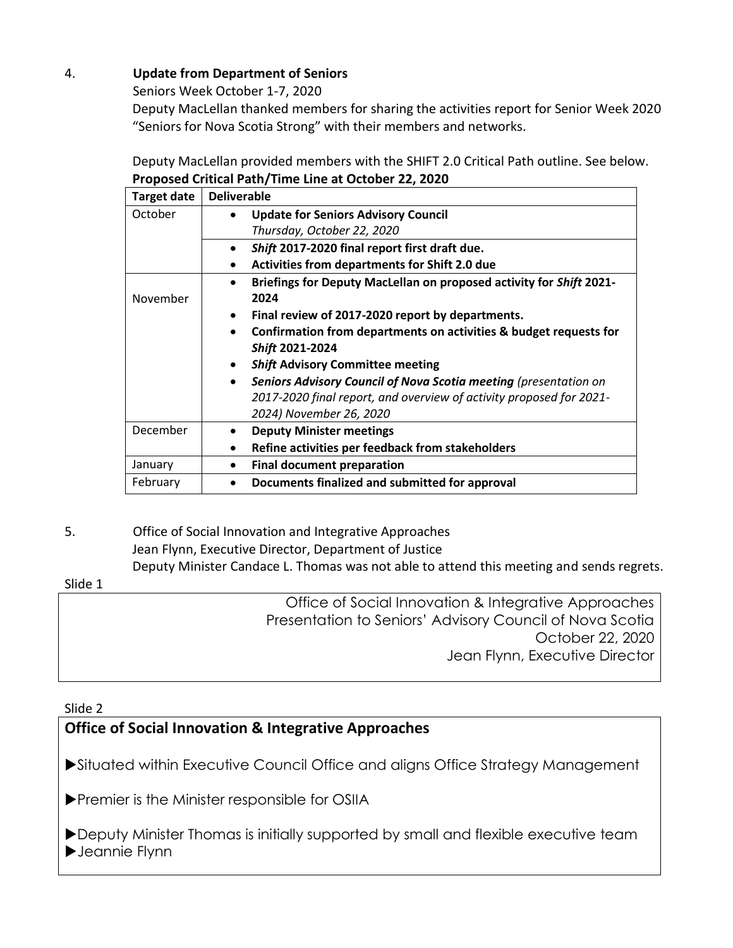# 4. **Update from Department of Seniors**

Seniors Week October 1-7, 2020

Deputy MacLellan thanked members for sharing the activities report for Senior Week 2020 "Seniors for Nova Scotia Strong" with their members and networks.

Deputy MacLellan provided members with the SHIFT 2.0 Critical Path outline. See below. **Proposed Critical Path/Time Line at October 22, 2020**

| <b>Target date</b> | <b>Deliverable</b>                                                               |
|--------------------|----------------------------------------------------------------------------------|
| October            | <b>Update for Seniors Advisory Council</b><br>$\bullet$                          |
|                    | Thursday, October 22, 2020                                                       |
|                    | Shift 2017-2020 final report first draft due.<br>$\bullet$                       |
|                    | Activities from departments for Shift 2.0 due                                    |
|                    | Briefings for Deputy MacLellan on proposed activity for Shift 2021-<br>$\bullet$ |
| November           | 2024                                                                             |
|                    | Final review of 2017-2020 report by departments.<br>$\bullet$                    |
|                    | Confirmation from departments on activities & budget requests for<br>$\bullet$   |
|                    | Shift 2021-2024                                                                  |
|                    | <b>Shift Advisory Committee meeting</b>                                          |
|                    | Seniors Advisory Council of Nova Scotia meeting (presentation on<br>$\bullet$    |
|                    | 2017-2020 final report, and overview of activity proposed for 2021-              |
|                    | 2024) November 26, 2020                                                          |
| December           | <b>Deputy Minister meetings</b>                                                  |
|                    | Refine activities per feedback from stakeholders<br>$\bullet$                    |
| January            | <b>Final document preparation</b><br>$\bullet$                                   |
| February           | Documents finalized and submitted for approval                                   |

5. Office of Social Innovation and Integrative Approaches Jean Flynn, Executive Director, Department of Justice Deputy Minister Candace L. Thomas was not able to attend this meeting and sends regrets.

# Slide 1

Office of Social Innovation & Integrative Approaches Presentation to Seniors' Advisory Council of Nova Scotia October 22, 2020 Jean Flynn, Executive Director

# Slide 2

# **Office of Social Innovation & Integrative Approaches**

Situated within Executive Council Office and aligns Office Strategy Management

**Premier is the Minister responsible for OSIIA** 

Deputy Minister Thomas is initially supported by small and flexible executive team Jeannie Flynn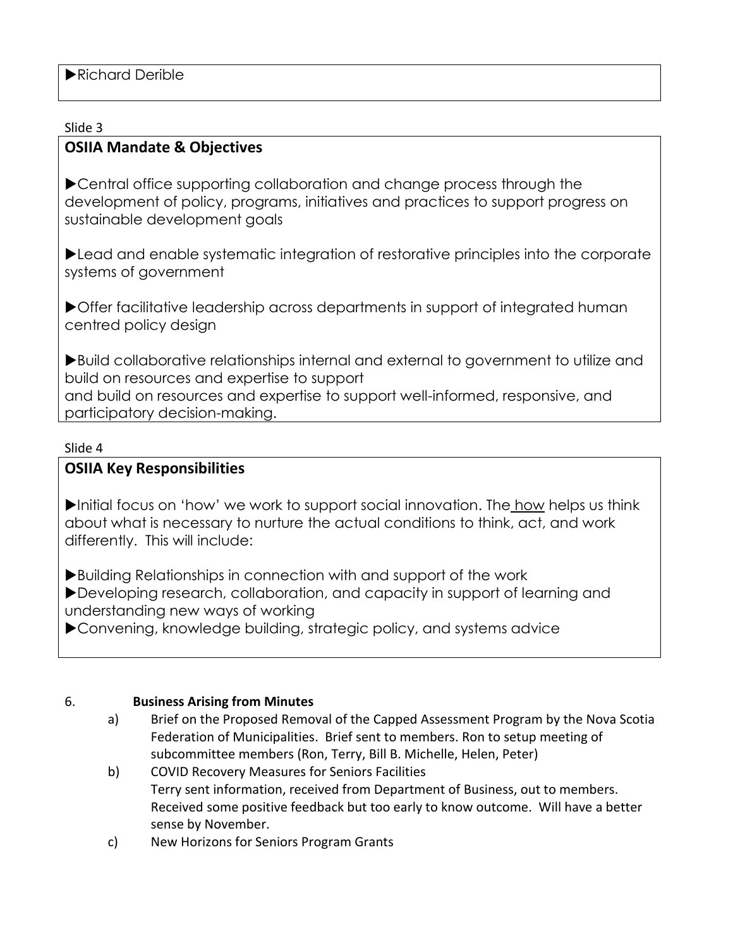### Slide 3

# **OSIIA Mandate & Objectives**

▶ Central office supporting collaboration and change process through the development of policy, programs, initiatives and practices to support progress on sustainable development goals

Lead and enable systematic integration of restorative principles into the corporate systems of government

Offer facilitative leadership across departments in support of integrated human centred policy design

Build collaborative relationships internal and external to government to utilize and build on resources and expertise to support and build on resources and expertise to support well-informed, responsive, and participatory decision-making.

### Slide 4

# **OSIIA Key Responsibilities**

Initial focus on 'how' we work to support social innovation. The how helps us think about what is necessary to nurture the actual conditions to think, act, and work differently. This will include:

Building Relationships in connection with and support of the work Developing research, collaboration, and capacity in support of learning and understanding new ways of working

Convening, knowledge building, strategic policy, and systems advice

# 6. **Business Arising from Minutes**

- a) Brief on the Proposed Removal of the Capped Assessment Program by the Nova Scotia Federation of Municipalities. Brief sent to members. Ron to setup meeting of subcommittee members (Ron, Terry, Bill B. Michelle, Helen, Peter)
- b) COVID Recovery Measures for Seniors Facilities Terry sent information, received from Department of Business, out to members. Received some positive feedback but too early to know outcome. Will have a better sense by November.
- c) New Horizons for Seniors Program Grants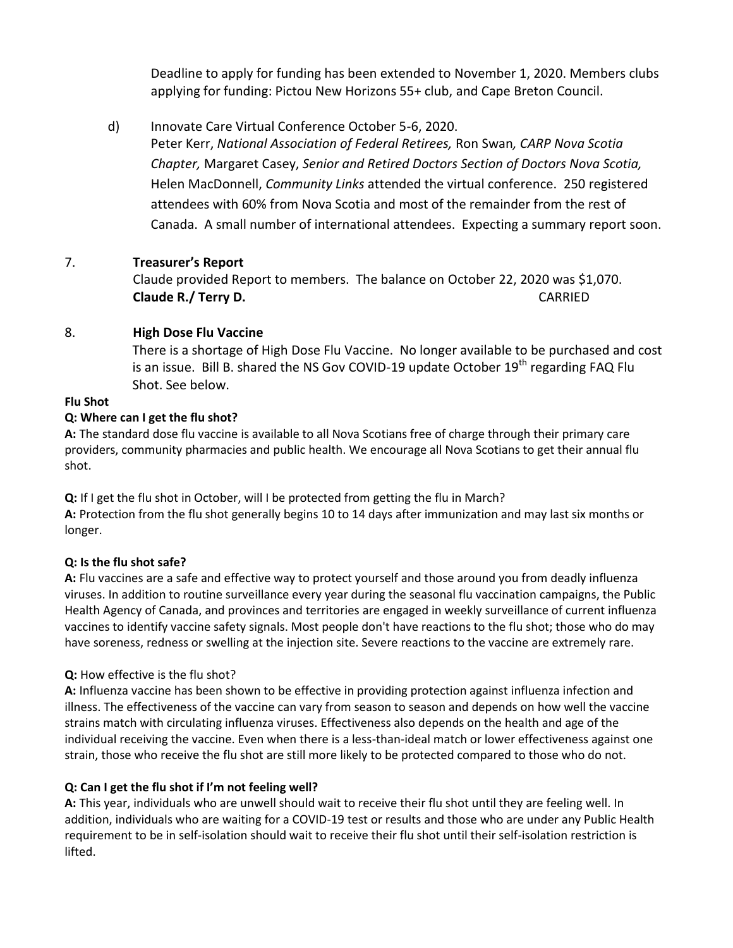Deadline to apply for funding has been extended to November 1, 2020. Members clubs applying for funding: Pictou New Horizons 55+ club, and Cape Breton Council.

d) Innovate Care Virtual Conference October 5-6, 2020.

Peter Kerr, *National Association of Federal Retirees,* Ron Swan*, CARP Nova Scotia Chapter,* Margaret Casey, *Senior and Retired Doctors Section of Doctors Nova Scotia,*  Helen MacDonnell, *Community Links* attended the virtual conference. 250 registered attendees with 60% from Nova Scotia and most of the remainder from the rest of Canada. A small number of international attendees. Expecting a summary report soon.

# 7. **Treasurer's Report**

Claude provided Report to members. The balance on October 22, 2020 was \$1,070. **Claude R./ Terry D.** CARRIED

# 8. **High Dose Flu Vaccine**

There is a shortage of High Dose Flu Vaccine. No longer available to be purchased and cost is an issue. Bill B. shared the NS Gov COVID-19 update October 19<sup>th</sup> regarding FAQ Flu Shot. See below.

# **Flu Shot**

# **Q: Where can I get the flu shot?**

**A:** The standard dose flu vaccine is available to all Nova Scotians free of charge through their primary care providers, community pharmacies and public health. We encourage all Nova Scotians to get their annual flu shot.

**Q:** If I get the flu shot in October, will I be protected from getting the flu in March? **A:** Protection from the flu shot generally begins 10 to 14 days after immunization and may last six months or longer.

# **Q: Is the flu shot safe?**

**A:** Flu vaccines are a safe and effective way to protect yourself and those around you from deadly influenza viruses. In addition to routine surveillance every year during the seasonal flu vaccination campaigns, the Public Health Agency of Canada, and provinces and territories are engaged in weekly surveillance of current influenza vaccines to identify vaccine safety signals. Most people don't have reactions to the flu shot; those who do may have soreness, redness or swelling at the injection site. Severe reactions to the vaccine are extremely rare.

# **Q:** How effective is the flu shot?

**A:** Influenza vaccine has been shown to be effective in providing protection against influenza infection and illness. The effectiveness of the vaccine can vary from season to season and depends on how well the vaccine strains match with circulating influenza viruses. Effectiveness also depends on the health and age of the individual receiving the vaccine. Even when there is a less-than-ideal match or lower effectiveness against one strain, those who receive the flu shot are still more likely to be protected compared to those who do not.

# **Q: Can I get the flu shot if I'm not feeling well?**

**A:** This year, individuals who are unwell should wait to receive their flu shot until they are feeling well. In addition, individuals who are waiting for a COVID-19 test or results and those who are under any Public Health requirement to be in self-isolation should wait to receive their flu shot until their self-isolation restriction is lifted.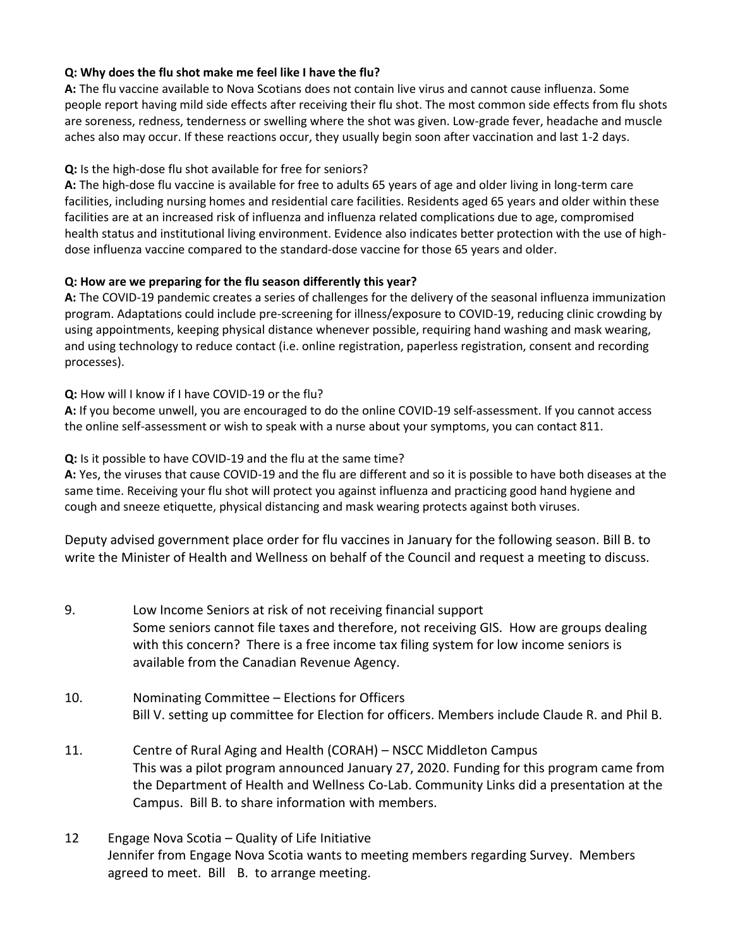### **Q: Why does the flu shot make me feel like I have the flu?**

**A:** The flu vaccine available to Nova Scotians does not contain live virus and cannot cause influenza. Some people report having mild side effects after receiving their flu shot. The most common side effects from flu shots are soreness, redness, tenderness or swelling where the shot was given. Low-grade fever, headache and muscle aches also may occur. If these reactions occur, they usually begin soon after vaccination and last 1-2 days.

### **Q:** Is the high-dose flu shot available for free for seniors?

**A:** The high-dose flu vaccine is available for free to adults 65 years of age and older living in long-term care facilities, including nursing homes and residential care facilities. Residents aged 65 years and older within these facilities are at an increased risk of influenza and influenza related complications due to age, compromised health status and institutional living environment. Evidence also indicates better protection with the use of highdose influenza vaccine compared to the standard-dose vaccine for those 65 years and older.

### **Q: How are we preparing for the flu season differently this year?**

**A:** The COVID-19 pandemic creates a series of challenges for the delivery of the seasonal influenza immunization program. Adaptations could include pre-screening for illness/exposure to COVID-19, reducing clinic crowding by using appointments, keeping physical distance whenever possible, requiring hand washing and mask wearing, and using technology to reduce contact (i.e. online registration, paperless registration, consent and recording processes).

### **Q:** How will I know if I have COVID-19 or the flu?

**A:** If you become unwell, you are encouraged to do the online COVID-19 self-assessment. If you cannot access the online self-assessment or wish to speak with a nurse about your symptoms, you can contact 811.

### **Q:** Is it possible to have COVID-19 and the flu at the same time?

**A:** Yes, the viruses that cause COVID-19 and the flu are different and so it is possible to have both diseases at the same time. Receiving your flu shot will protect you against influenza and practicing good hand hygiene and cough and sneeze etiquette, physical distancing and mask wearing protects against both viruses.

Deputy advised government place order for flu vaccines in January for the following season. Bill B. to write the Minister of Health and Wellness on behalf of the Council and request a meeting to discuss.

- 9. Low Income Seniors at risk of not receiving financial support Some seniors cannot file taxes and therefore, not receiving GIS. How are groups dealing with this concern? There is a free income tax filing system for low income seniors is available from the Canadian Revenue Agency.
- 10. Nominating Committee Elections for Officers Bill V. setting up committee for Election for officers. Members include Claude R. and Phil B.
- 11. Centre of Rural Aging and Health (CORAH) NSCC Middleton Campus This was a pilot program announced January 27, 2020. Funding for this program came from the Department of Health and Wellness Co-Lab. Community Links did a presentation at the Campus. Bill B. to share information with members.
- 12 Engage Nova Scotia Quality of Life Initiative Jennifer from Engage Nova Scotia wants to meeting members regarding Survey. Members agreed to meet. Bill B. to arrange meeting.